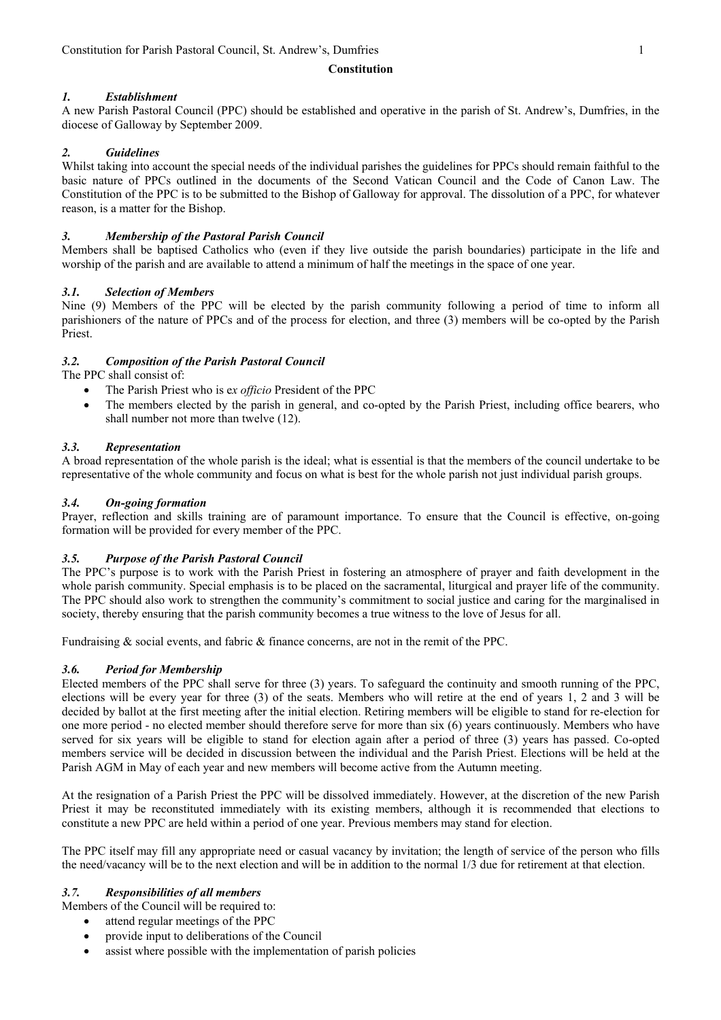#### **Constitution**

## *1. Establishment*

A new Parish Pastoral Council (PPC) should be established and operative in the parish of St. Andrew's, Dumfries, in the diocese of Galloway by September 2009.

## *2. Guidelines*

Whilst taking into account the special needs of the individual parishes the guidelines for PPCs should remain faithful to the basic nature of PPCs outlined in the documents of the Second Vatican Council and the Code of Canon Law. The Constitution of the PPC is to be submitted to the Bishop of Galloway for approval. The dissolution of a PPC, for whatever reason, is a matter for the Bishop.

## *3. Membership of the Pastoral Parish Council*

Members shall be baptised Catholics who (even if they live outside the parish boundaries) participate in the life and worship of the parish and are available to attend a minimum of half the meetings in the space of one year.

## *3.1. Selection of Members*

Nine (9) Members of the PPC will be elected by the parish community following a period of time to inform all parishioners of the nature of PPCs and of the process for election, and three (3) members will be co-opted by the Parish Priest.

# *3.2. Composition of the Parish Pastoral Council*

The PPC shall consist of:

- The Parish Priest who is e*x officio* President of the PPC
- The members elected by the parish in general, and co-opted by the Parish Priest, including office bearers, who shall number not more than twelve (12).

## *3.3. Representation*

A broad representation of the whole parish is the ideal; what is essential is that the members of the council undertake to be representative of the whole community and focus on what is best for the whole parish not just individual parish groups.

### *3.4. On-going formation*

Prayer, reflection and skills training are of paramount importance. To ensure that the Council is effective, on-going formation will be provided for every member of the PPC.

# *3.5. Purpose of the Parish Pastoral Council*

The PPC's purpose is to work with the Parish Priest in fostering an atmosphere of prayer and faith development in the whole parish community. Special emphasis is to be placed on the sacramental, liturgical and prayer life of the community. The PPC should also work to strengthen the community's commitment to social justice and caring for the marginalised in society, thereby ensuring that the parish community becomes a true witness to the love of Jesus for all.

Fundraising & social events, and fabric & finance concerns, are not in the remit of the PPC.

# *3.6. Period for Membership*

Elected members of the PPC shall serve for three (3) years. To safeguard the continuity and smooth running of the PPC, elections will be every year for three (3) of the seats. Members who will retire at the end of years 1, 2 and 3 will be decided by ballot at the first meeting after the initial election. Retiring members will be eligible to stand for re-election for one more period - no elected member should therefore serve for more than six (6) years continuously. Members who have served for six years will be eligible to stand for election again after a period of three (3) years has passed. Co-opted members service will be decided in discussion between the individual and the Parish Priest. Elections will be held at the Parish AGM in May of each year and new members will become active from the Autumn meeting.

At the resignation of a Parish Priest the PPC will be dissolved immediately. However, at the discretion of the new Parish Priest it may be reconstituted immediately with its existing members, although it is recommended that elections to constitute a new PPC are held within a period of one year. Previous members may stand for election.

The PPC itself may fill any appropriate need or casual vacancy by invitation; the length of service of the person who fills the need/vacancy will be to the next election and will be in addition to the normal 1/3 due for retirement at that election.

### *3.7. Responsibilities of all members*

Members of the Council will be required to:

- attend regular meetings of the PPC
- provide input to deliberations of the Council
- assist where possible with the implementation of parish policies